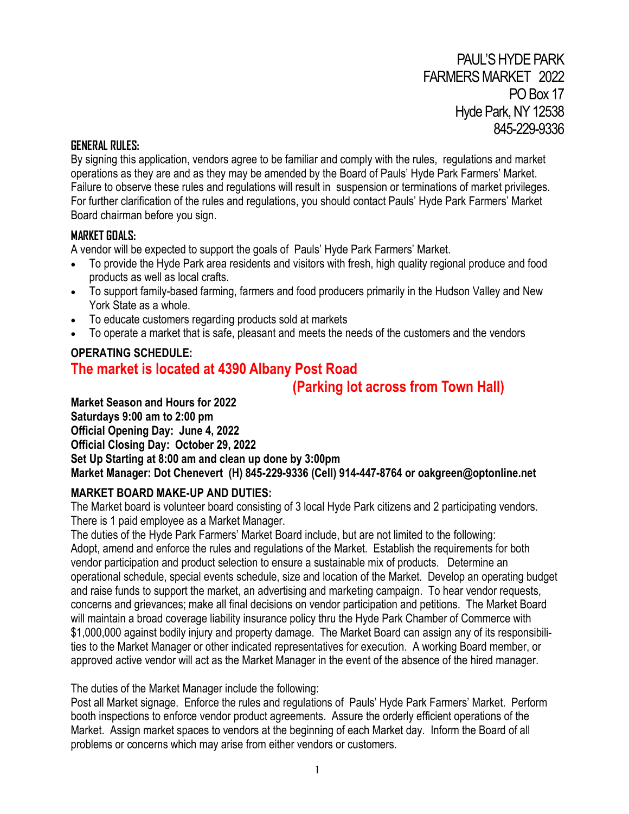#### **GENERAL RULES:**

By signing this application, vendors agree to be familiar and comply with the rules, regulations and market operations as they are and as they may be amended by the Board of Pauls' Hyde Park Farmers' Market. Failure to observe these rules and regulations will result in suspension or terminations of market privileges. For further clarification of the rules and regulations, you should contact Pauls' Hyde Park Farmers' Market Board chairman before you sign.

## **MARKET GOALS:**

A vendor will be expected to support the goals of Pauls' Hyde Park Farmers' Market.

- To provide the Hyde Park area residents and visitors with fresh, high quality regional produce and food products as well as local crafts.
- To support family-based farming, farmers and food producers primarily in the Hudson Valley and New York State as a whole.
- To educate customers regarding products sold at markets
- To operate a market that is safe, pleasant and meets the needs of the customers and the vendors

# **OPERATING SCHEDULE: The market is located at 4390 Albany Post Road**

# **(Parking lot across from Town Hall)**

**Market Season and Hours for 2022 Saturdays 9:00 am to 2:00 pm Official Opening Day: June 4, 2022 Official Closing Day: October 29, 2022 Set Up Starting at 8:00 am and clean up done by 3:00pm Market Manager: Dot Chenevert (H) 845-229-9336 (Cell) 914-447-8764 or oakgreen@optonline.net**

## **MARKET BOARD MAKE-UP AND DUTIES:**

The Market board is volunteer board consisting of 3 local Hyde Park citizens and 2 participating vendors. There is 1 paid employee as a Market Manager.

The duties of the Hyde Park Farmers' Market Board include, but are not limited to the following: Adopt, amend and enforce the rules and regulations of the Market. Establish the requirements for both vendor participation and product selection to ensure a sustainable mix of products. Determine an operational schedule, special events schedule, size and location of the Market. Develop an operating budget and raise funds to support the market, an advertising and marketing campaign. To hear vendor requests, concerns and grievances; make all final decisions on vendor participation and petitions. The Market Board will maintain a broad coverage liability insurance policy thru the Hyde Park Chamber of Commerce with \$1,000,000 against bodily injury and property damage. The Market Board can assign any of its responsibilities to the Market Manager or other indicated representatives for execution. A working Board member, or approved active vendor will act as the Market Manager in the event of the absence of the hired manager.

The duties of the Market Manager include the following:

Post all Market signage. Enforce the rules and regulations of Pauls' Hyde Park Farmers' Market. Perform booth inspections to enforce vendor product agreements. Assure the orderly efficient operations of the Market. Assign market spaces to vendors at the beginning of each Market day. Inform the Board of all problems or concerns which may arise from either vendors or customers.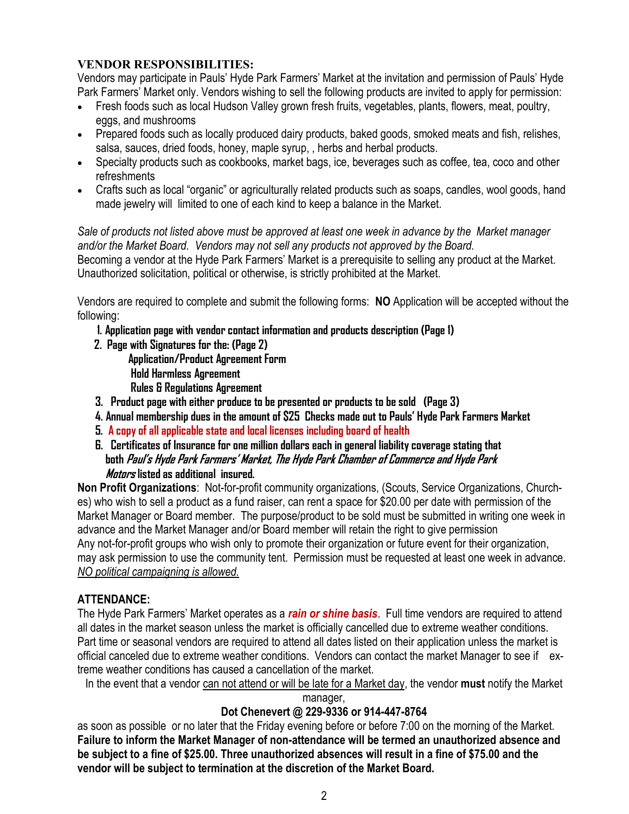## **VENDOR RESPONSIBILITIES:**

Vendors may participate in Pauls' Hyde Park Farmers' Market at the invitation and permission of Pauls' Hyde Park Farmers' Market only. Vendors wishing to sell the following products are invited to apply for permission:

- Fresh foods such as local Hudson Valley grown fresh fruits, vegetables, plants, flowers, meat, poultry, eggs, and mushrooms
- Prepared foods such as locally produced dairy products, baked goods, smoked meats and fish, relishes, salsa, sauces, dried foods, honey, maple syrup, , herbs and herbal products.
- Specialty products such as cookbooks, market bags, ice, beverages such as coffee, tea, coco and other refreshments
- Crafts such as local "organic" or agriculturally related products such as soaps, candles, wool goods, hand made jewelry will limited to one of each kind to keep a balance in the Market.

*Sale of products not listed above must be approved at least one week in advance by the Market manager and/or the Market Board. Vendors may not sell any products not approved by the Board.* Becoming a vendor at the Hyde Park Farmers' Market is a prerequisite to selling any product at the Market. Unauthorized solicitation, political or otherwise, is strictly prohibited at the Market.

Vendors are required to complete and submit the following forms: **NO** Application will be accepted without the following:

- **1. Application page with vendor contact information and products description (Page 1)**
- **2. Page with Signatures for the: (Page 2)**
	- **Application/Product Agreement Form**
	- **Hold Harmless Agreement**
	- **Rules & Regulations Agreement**
- **3. Product page with either produce to be presented or products to be sold (Page 3)**
- **4. Annual membership dues in the amount of \$25 Checks made out to Pauls' Hyde Park Farmers Market**
- **5. A copy of all applicable state and local licenses including board of health**
- **6. Certificates of Insurance for one million dollars each in general liability coverage stating that both Paul's Hyde Park Farmers' Market, The Hyde Park Chamber of Commerce and Hyde Park Motors listed as additional insured.**

**Non Profit Organizations**: Not-for-profit community organizations, (Scouts, Service Organizations, Churches) who wish to sell a product as a fund raiser, can rent a space for \$20.00 per date with permission of the Market Manager or Board member. The purpose/product to be sold must be submitted in writing one week in advance and the Market Manager and/or Board member will retain the right to give permission Any not-for-profit groups who wish only to promote their organization or future event for their organization, may ask permission to use the community tent. Permission must be requested at least one week in advance. *NO political campaigning is allowed.*

# **ATTENDANCE:**

The Hyde Park Farmers' Market operates as a *rain or shine basis*. Full time vendors are required to attend all dates in the market season unless the market is officially cancelled due to extreme weather conditions. Part time or seasonal vendors are required to attend all dates listed on their application unless the market is official canceled due to extreme weather conditions. Vendors can contact the market Manager to see if extreme weather conditions has caused a cancellation of the market.

In the event that a vendor can not attend or will be late for a Market day, the vendor **must** notify the Market

manager,

# **Dot Chenevert @ 229-9336 or 914-447-8764**

as soon as possible or no later that the Friday evening before or before 7:00 on the morning of the Market. **Failure to inform the Market Manager of non-attendance will be termed an unauthorized absence and be subject to a fine of \$25.00. Three unauthorized absences will result in a fine of \$75.00 and the vendor will be subject to termination at the discretion of the Market Board.**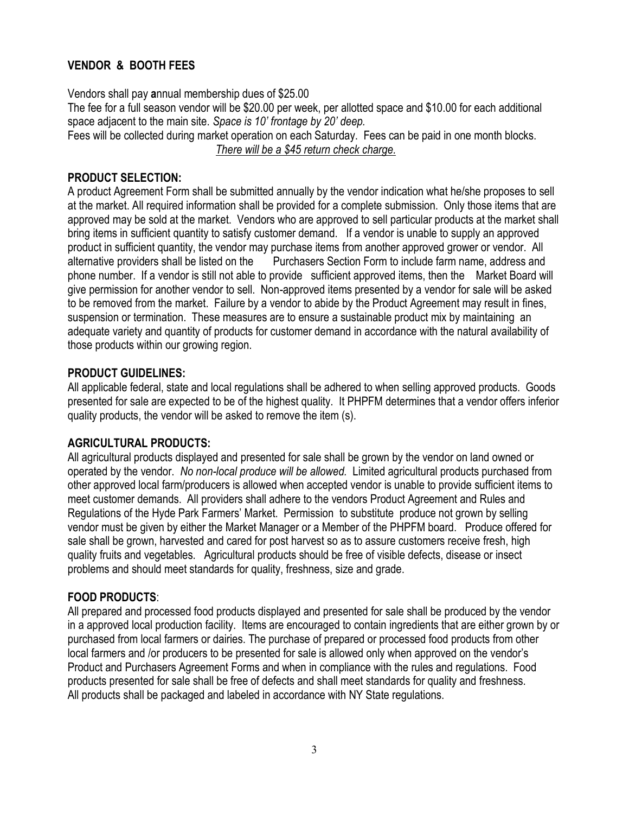# **VENDOR & BOOTH FEES**

Vendors shall pay **a**nnual membership dues of \$25.00 The fee for a full season vendor will be \$20.00 per week, per allotted space and \$10.00 for each additional space adjacent to the main site. *Space is 10' frontage by 20' deep.* Fees will be collected during market operation on each Saturday. Fees can be paid in one month blocks.

*There will be a \$45 return check charge.*

#### **PRODUCT SELECTION:**

A product Agreement Form shall be submitted annually by the vendor indication what he/she proposes to sell at the market. All required information shall be provided for a complete submission. Only those items that are approved may be sold at the market. Vendors who are approved to sell particular products at the market shall bring items in sufficient quantity to satisfy customer demand. If a vendor is unable to supply an approved product in sufficient quantity, the vendor may purchase items from another approved grower or vendor. All alternative providers shall be listed on the Purchasers Section Form to include farm name, address and phone number. If a vendor is still not able to provide sufficient approved items, then the Market Board will give permission for another vendor to sell. Non-approved items presented by a vendor for sale will be asked to be removed from the market. Failure by a vendor to abide by the Product Agreement may result in fines, suspension or termination. These measures are to ensure a sustainable product mix by maintaining an adequate variety and quantity of products for customer demand in accordance with the natural availability of those products within our growing region.

#### **PRODUCT GUIDELINES:**

All applicable federal, state and local regulations shall be adhered to when selling approved products. Goods presented for sale are expected to be of the highest quality. It PHPFM determines that a vendor offers inferior quality products, the vendor will be asked to remove the item (s).

## **AGRICULTURAL PRODUCTS:**

All agricultural products displayed and presented for sale shall be grown by the vendor on land owned or operated by the vendor. *No non-local produce will be allowed.* Limited agricultural products purchased from other approved local farm/producers is allowed when accepted vendor is unable to provide sufficient items to meet customer demands. All providers shall adhere to the vendors Product Agreement and Rules and Regulations of the Hyde Park Farmers' Market. Permission to substitute produce not grown by selling vendor must be given by either the Market Manager or a Member of the PHPFM board. Produce offered for sale shall be grown, harvested and cared for post harvest so as to assure customers receive fresh, high quality fruits and vegetables. Agricultural products should be free of visible defects, disease or insect problems and should meet standards for quality, freshness, size and grade.

## **FOOD PRODUCTS**:

All prepared and processed food products displayed and presented for sale shall be produced by the vendor in a approved local production facility. Items are encouraged to contain ingredients that are either grown by or purchased from local farmers or dairies. The purchase of prepared or processed food products from other local farmers and /or producers to be presented for sale is allowed only when approved on the vendor's Product and Purchasers Agreement Forms and when in compliance with the rules and regulations. Food products presented for sale shall be free of defects and shall meet standards for quality and freshness. All products shall be packaged and labeled in accordance with NY State regulations.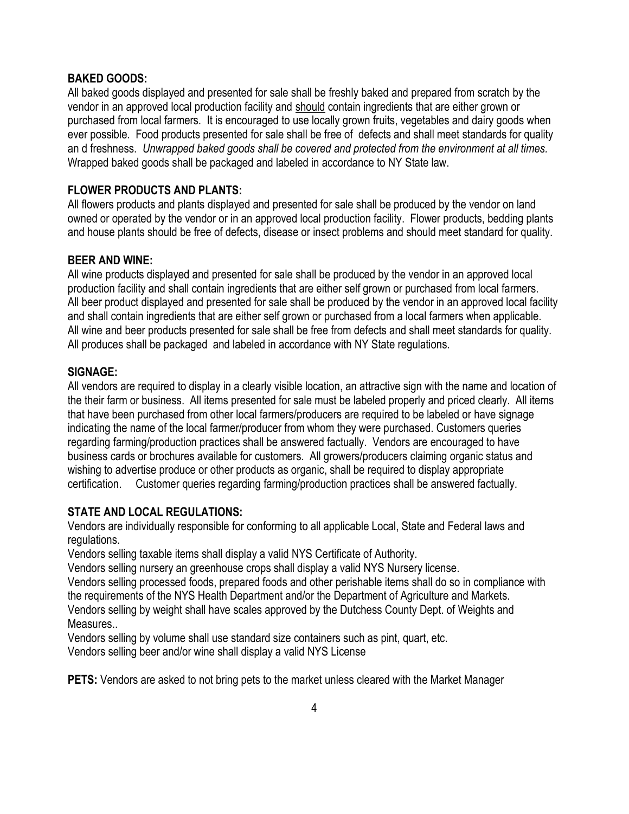#### **BAKED GOODS:**

All baked goods displayed and presented for sale shall be freshly baked and prepared from scratch by the vendor in an approved local production facility and should contain ingredients that are either grown or purchased from local farmers. It is encouraged to use locally grown fruits, vegetables and dairy goods when ever possible. Food products presented for sale shall be free of defects and shall meet standards for quality an d freshness. *Unwrapped baked goods shall be covered and protected from the environment at all times.*  Wrapped baked goods shall be packaged and labeled in accordance to NY State law.

#### **FLOWER PRODUCTS AND PLANTS:**

All flowers products and plants displayed and presented for sale shall be produced by the vendor on land owned or operated by the vendor or in an approved local production facility. Flower products, bedding plants and house plants should be free of defects, disease or insect problems and should meet standard for quality.

#### **BEER AND WINE:**

All wine products displayed and presented for sale shall be produced by the vendor in an approved local production facility and shall contain ingredients that are either self grown or purchased from local farmers. All beer product displayed and presented for sale shall be produced by the vendor in an approved local facility and shall contain ingredients that are either self grown or purchased from a local farmers when applicable. All wine and beer products presented for sale shall be free from defects and shall meet standards for quality. All produces shall be packaged and labeled in accordance with NY State regulations.

#### **SIGNAGE:**

All vendors are required to display in a clearly visible location, an attractive sign with the name and location of the their farm or business. All items presented for sale must be labeled properly and priced clearly. All items that have been purchased from other local farmers/producers are required to be labeled or have signage indicating the name of the local farmer/producer from whom they were purchased. Customers queries regarding farming/production practices shall be answered factually. Vendors are encouraged to have business cards or brochures available for customers. All growers/producers claiming organic status and wishing to advertise produce or other products as organic, shall be required to display appropriate certification. Customer queries regarding farming/production practices shall be answered factually.

#### **STATE AND LOCAL REGULATIONS:**

Vendors are individually responsible for conforming to all applicable Local, State and Federal laws and regulations.

Vendors selling taxable items shall display a valid NYS Certificate of Authority.

Vendors selling nursery an greenhouse crops shall display a valid NYS Nursery license.

Vendors selling processed foods, prepared foods and other perishable items shall do so in compliance with the requirements of the NYS Health Department and/or the Department of Agriculture and Markets. Vendors selling by weight shall have scales approved by the Dutchess County Dept. of Weights and Measures..

Vendors selling by volume shall use standard size containers such as pint, quart, etc. Vendors selling beer and/or wine shall display a valid NYS License

**PETS:** Vendors are asked to not bring pets to the market unless cleared with the Market Manager